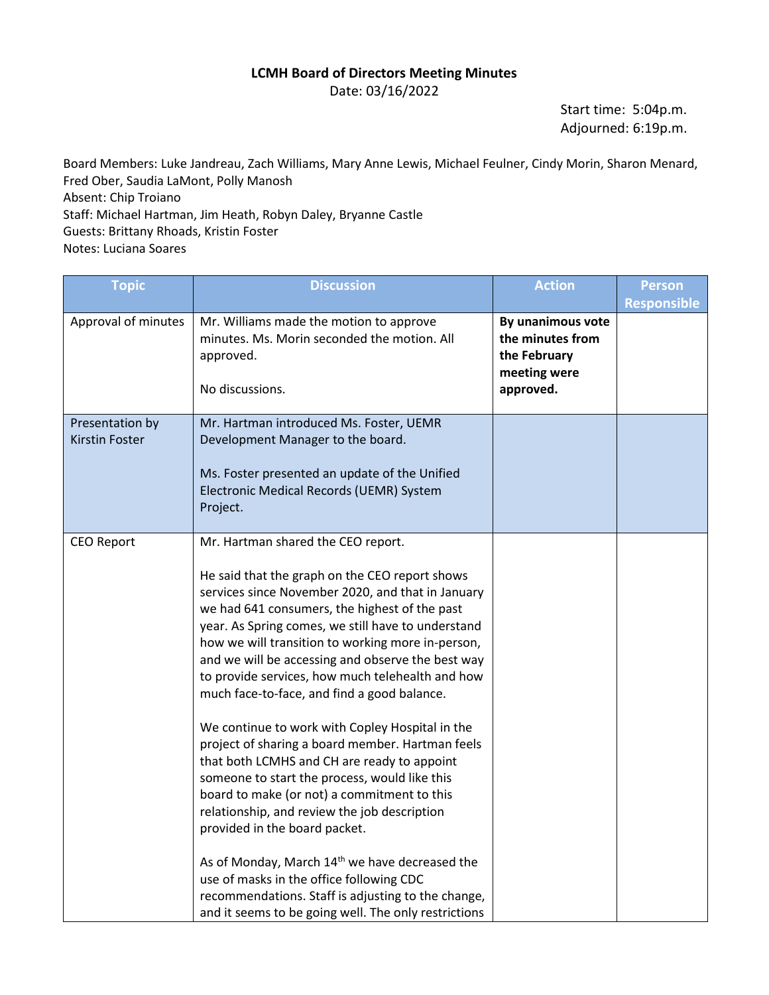## **LCMH Board of Directors Meeting Minutes**

Date: 03/16/2022

Start time: 5:04p.m. Adjourned: 6:19p.m.

Board Members: Luke Jandreau, Zach Williams, Mary Anne Lewis, Michael Feulner, Cindy Morin, Sharon Menard, Fred Ober, Saudia LaMont, Polly Manosh Absent: Chip Troiano Staff: Michael Hartman, Jim Heath, Robyn Daley, Bryanne Castle Guests: Brittany Rhoads, Kristin Foster Notes: Luciana Soares

| <b>Topic</b>                      | <b>Discussion</b>                                                                                                                                                                                                                                                                                                                                                                                                                                                                                                                                                                                                                                                                                                                                                                                                                                                                                                                                                                                                            | <b>Action</b>                                                                      | <b>Person</b>      |
|-----------------------------------|------------------------------------------------------------------------------------------------------------------------------------------------------------------------------------------------------------------------------------------------------------------------------------------------------------------------------------------------------------------------------------------------------------------------------------------------------------------------------------------------------------------------------------------------------------------------------------------------------------------------------------------------------------------------------------------------------------------------------------------------------------------------------------------------------------------------------------------------------------------------------------------------------------------------------------------------------------------------------------------------------------------------------|------------------------------------------------------------------------------------|--------------------|
| Approval of minutes               | Mr. Williams made the motion to approve<br>minutes. Ms. Morin seconded the motion. All<br>approved.<br>No discussions.                                                                                                                                                                                                                                                                                                                                                                                                                                                                                                                                                                                                                                                                                                                                                                                                                                                                                                       | By unanimous vote<br>the minutes from<br>the February<br>meeting were<br>approved. | <b>Responsible</b> |
| Presentation by<br>Kirstin Foster | Mr. Hartman introduced Ms. Foster, UEMR<br>Development Manager to the board.<br>Ms. Foster presented an update of the Unified<br>Electronic Medical Records (UEMR) System<br>Project.                                                                                                                                                                                                                                                                                                                                                                                                                                                                                                                                                                                                                                                                                                                                                                                                                                        |                                                                                    |                    |
| <b>CEO Report</b>                 | Mr. Hartman shared the CEO report.<br>He said that the graph on the CEO report shows<br>services since November 2020, and that in January<br>we had 641 consumers, the highest of the past<br>year. As Spring comes, we still have to understand<br>how we will transition to working more in-person,<br>and we will be accessing and observe the best way<br>to provide services, how much telehealth and how<br>much face-to-face, and find a good balance.<br>We continue to work with Copley Hospital in the<br>project of sharing a board member. Hartman feels<br>that both LCMHS and CH are ready to appoint<br>someone to start the process, would like this<br>board to make (or not) a commitment to this<br>relationship, and review the job description<br>provided in the board packet.<br>As of Monday, March 14 <sup>th</sup> we have decreased the<br>use of masks in the office following CDC<br>recommendations. Staff is adjusting to the change,<br>and it seems to be going well. The only restrictions |                                                                                    |                    |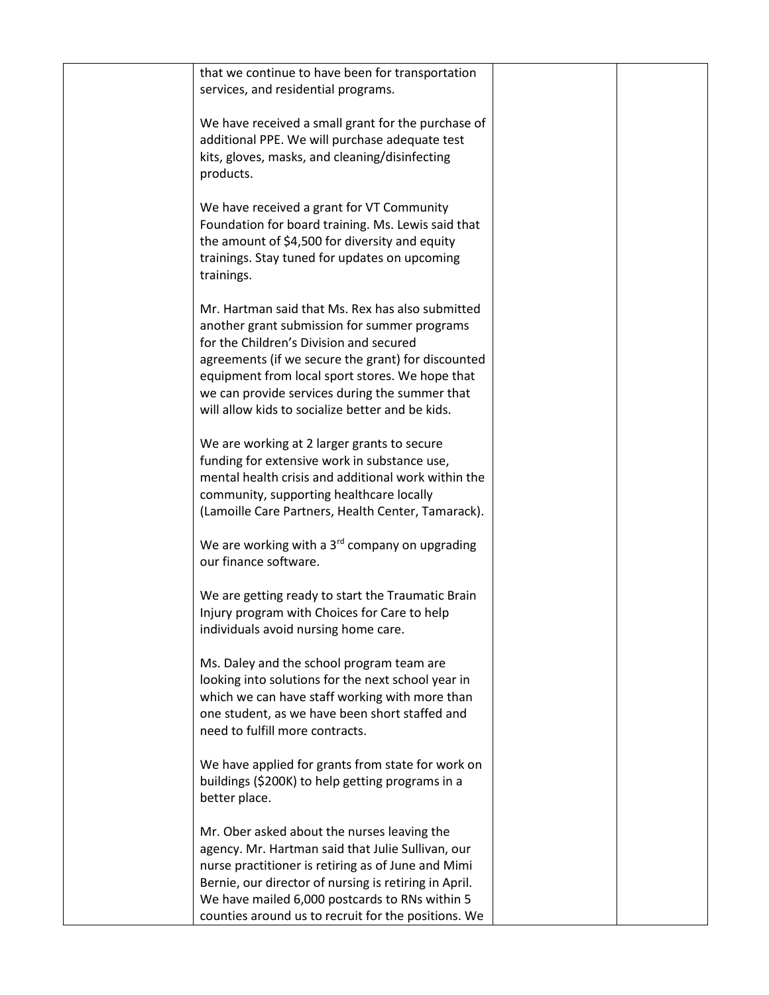| that we continue to have been for transportation<br>services, and residential programs.                                                                                                                                                                                                                                                                    |  |
|------------------------------------------------------------------------------------------------------------------------------------------------------------------------------------------------------------------------------------------------------------------------------------------------------------------------------------------------------------|--|
| We have received a small grant for the purchase of<br>additional PPE. We will purchase adequate test<br>kits, gloves, masks, and cleaning/disinfecting<br>products.                                                                                                                                                                                        |  |
| We have received a grant for VT Community<br>Foundation for board training. Ms. Lewis said that<br>the amount of \$4,500 for diversity and equity<br>trainings. Stay tuned for updates on upcoming<br>trainings.                                                                                                                                           |  |
| Mr. Hartman said that Ms. Rex has also submitted<br>another grant submission for summer programs<br>for the Children's Division and secured<br>agreements (if we secure the grant) for discounted<br>equipment from local sport stores. We hope that<br>we can provide services during the summer that<br>will allow kids to socialize better and be kids. |  |
| We are working at 2 larger grants to secure<br>funding for extensive work in substance use,<br>mental health crisis and additional work within the<br>community, supporting healthcare locally<br>(Lamoille Care Partners, Health Center, Tamarack).                                                                                                       |  |
| We are working with a 3rd company on upgrading<br>our finance software.                                                                                                                                                                                                                                                                                    |  |
| We are getting ready to start the Traumatic Brain<br>Injury program with Choices for Care to help<br>individuals avoid nursing home care.                                                                                                                                                                                                                  |  |
| Ms. Daley and the school program team are<br>looking into solutions for the next school year in<br>which we can have staff working with more than<br>one student, as we have been short staffed and<br>need to fulfill more contracts.                                                                                                                     |  |
| We have applied for grants from state for work on<br>buildings (\$200K) to help getting programs in a<br>better place.                                                                                                                                                                                                                                     |  |
| Mr. Ober asked about the nurses leaving the<br>agency. Mr. Hartman said that Julie Sullivan, our<br>nurse practitioner is retiring as of June and Mimi<br>Bernie, our director of nursing is retiring in April.<br>We have mailed 6,000 postcards to RNs within 5<br>counties around us to recruit for the positions. We                                   |  |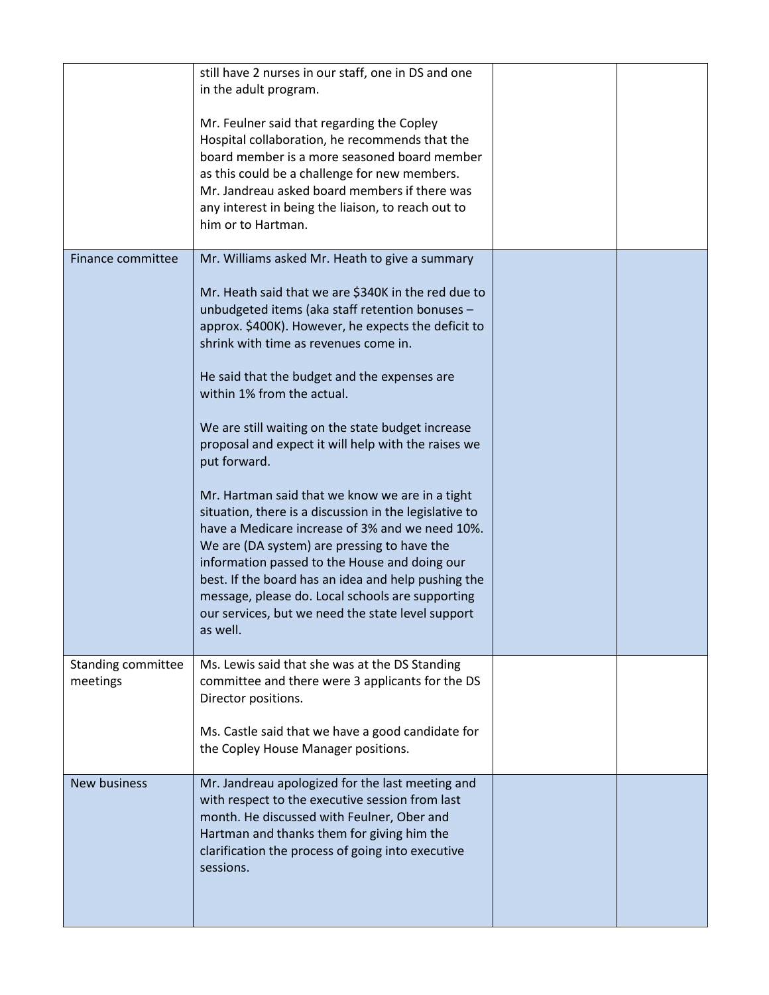|                                | still have 2 nurses in our staff, one in DS and one<br>in the adult program.                                                                                                                                                                                                                                                                                                                                                             |  |
|--------------------------------|------------------------------------------------------------------------------------------------------------------------------------------------------------------------------------------------------------------------------------------------------------------------------------------------------------------------------------------------------------------------------------------------------------------------------------------|--|
|                                | Mr. Feulner said that regarding the Copley<br>Hospital collaboration, he recommends that the<br>board member is a more seasoned board member<br>as this could be a challenge for new members.<br>Mr. Jandreau asked board members if there was<br>any interest in being the liaison, to reach out to<br>him or to Hartman.                                                                                                               |  |
| Finance committee              | Mr. Williams asked Mr. Heath to give a summary                                                                                                                                                                                                                                                                                                                                                                                           |  |
|                                | Mr. Heath said that we are \$340K in the red due to<br>unbudgeted items (aka staff retention bonuses -<br>approx. \$400K). However, he expects the deficit to<br>shrink with time as revenues come in.                                                                                                                                                                                                                                   |  |
|                                | He said that the budget and the expenses are<br>within 1% from the actual.                                                                                                                                                                                                                                                                                                                                                               |  |
|                                | We are still waiting on the state budget increase<br>proposal and expect it will help with the raises we<br>put forward.                                                                                                                                                                                                                                                                                                                 |  |
|                                | Mr. Hartman said that we know we are in a tight<br>situation, there is a discussion in the legislative to<br>have a Medicare increase of 3% and we need 10%.<br>We are (DA system) are pressing to have the<br>information passed to the House and doing our<br>best. If the board has an idea and help pushing the<br>message, please do. Local schools are supporting<br>our services, but we need the state level support<br>as well. |  |
| Standing committee<br>meetings | Ms. Lewis said that she was at the DS Standing<br>committee and there were 3 applicants for the DS<br>Director positions.                                                                                                                                                                                                                                                                                                                |  |
|                                | Ms. Castle said that we have a good candidate for<br>the Copley House Manager positions.                                                                                                                                                                                                                                                                                                                                                 |  |
| <b>New business</b>            | Mr. Jandreau apologized for the last meeting and<br>with respect to the executive session from last<br>month. He discussed with Feulner, Ober and<br>Hartman and thanks them for giving him the<br>clarification the process of going into executive<br>sessions.                                                                                                                                                                        |  |